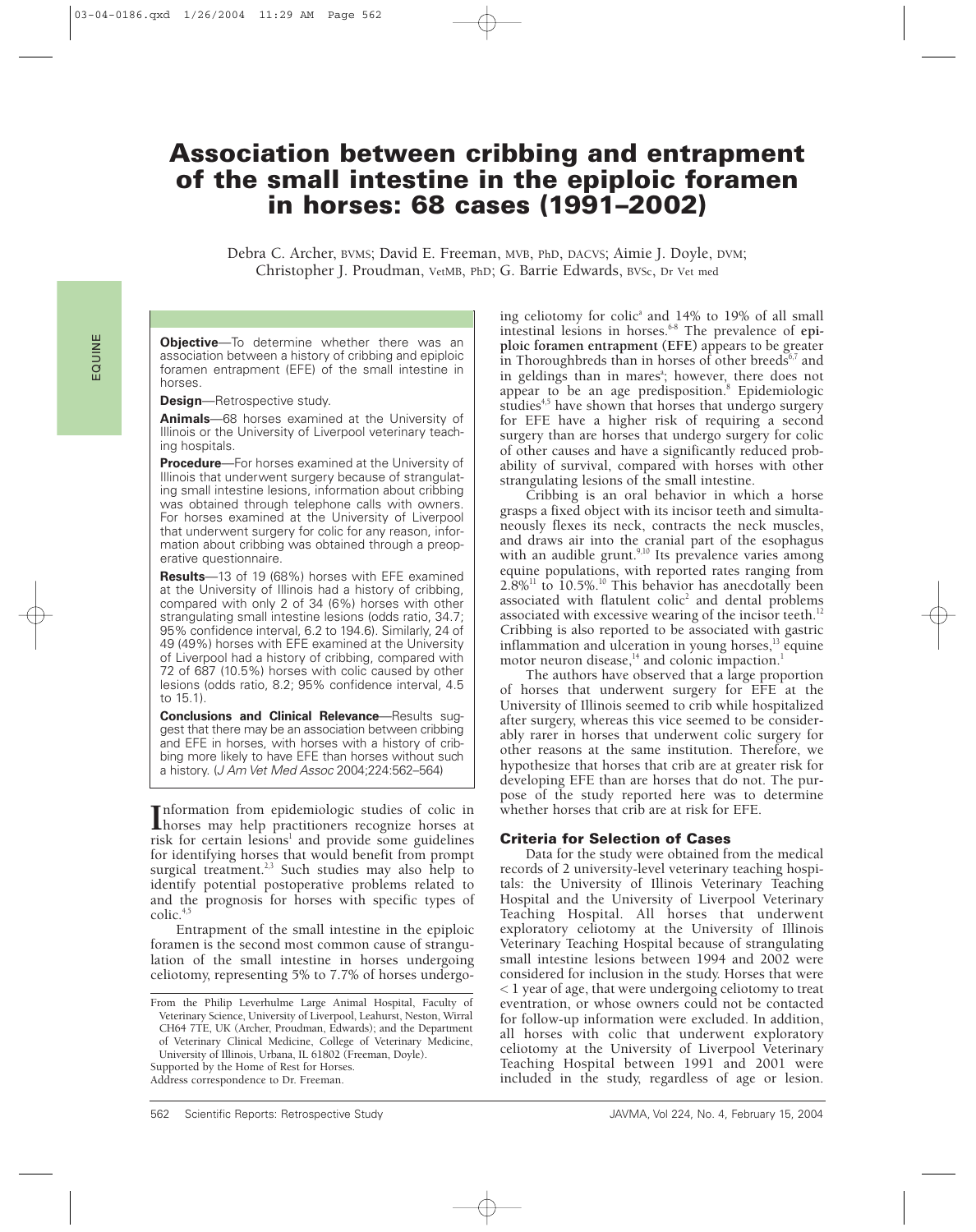# **Association between cribbing and entrapment of the small intestine in the epiploic foramen in horses: 68 cases (1991–2002)**

Debra C. Archer, BVMS; David E. Freeman, MVB, PhD, DACVS; Aimie J. Doyle, DVM; Christopher J. Proudman, VetMB, PhD; G. Barrie Edwards, BVSc, Dr Vet med

**Objective**—To determine whether there was an association between a history of cribbing and epiploic foramen entrapment (EFE) of the small intestine in horses.

**Design**—Retrospective study.

**Animals**—68 horses examined at the University of Illinois or the University of Liverpool veterinary teaching hospitals.

**Procedure**—For horses examined at the University of Illinois that underwent surgery because of strangulating small intestine lesions, information about cribbing was obtained through telephone calls with owners. For horses examined at the University of Liverpool that underwent surgery for colic for any reason, information about cribbing was obtained through a preoperative questionnaire.

**Results**—13 of 19 (68%) horses with EFE examined at the University of Illinois had a history of cribbing, compared with only 2 of 34 (6%) horses with other strangulating small intestine lesions (odds ratio, 34.7; 95% confidence interval, 6.2 to 194.6). Similarly, 24 of 49 (49%) horses with EFE examined at the University of Liverpool had a history of cribbing, compared with 72 of 687 (10.5%) horses with colic caused by other lesions (odds ratio, 8.2; 95% confidence interval, 4.5 to 15.1).

**Conclusions and Clinical Relevance**—Results suggest that there may be an association between cribbing and EFE in horses, with horses with a history of cribbing more likely to have EFE than horses without such a history. (J Am Vet Med Assoc 2004;224:562–564)

**Information from epidemiologic studies of colic in<br>
horses may help practitioners recognize horses at<br>
right for exitain legional and provide some quidelines** horses may help practitioners recognize horses at risk for certain lesions<sup>1</sup> and provide some guidelines for identifying horses that would benefit from prompt surgical treatment.<sup>2,3</sup> Such studies may also help to identify potential postoperative problems related to and the prognosis for horses with specific types of  $\text{colic.}^4$ 

Entrapment of the small intestine in the epiploic foramen is the second most common cause of strangulation of the small intestine in horses undergoing celiotomy, representing 5% to 7.7% of horses undergo-

Supported by the Home of Rest for Horses. Address correspondence to Dr. Freeman.

ing celiotomy for colic<sup>a</sup> and 14% to 19% of all small intestinal lesions in horses.<sup>6-8</sup> The prevalence of epi**ploic foramen entrapment (EFE)** appears to be greater in Thoroughbreds than in horses of other breeds $6,7$  and in geldings than in mares<sup>a</sup>; however, there does not appear to be an age predisposition.<sup>8</sup> Epidemiologic studies<sup>4,5</sup> have shown that horses that undergo surgery for EFE have a higher risk of requiring a second surgery than are horses that undergo surgery for colic of other causes and have a significantly reduced probability of survival, compared with horses with other strangulating lesions of the small intestine.

Cribbing is an oral behavior in which a horse grasps a fixed object with its incisor teeth and simultaneously flexes its neck, contracts the neck muscles, and draws air into the cranial part of the esophagus with an audible grunt.<sup>9,10</sup> Its prevalence varies among equine populations, with reported rates ranging from  $2.8\%$ <sup>11</sup> to 10.5%.<sup>10</sup> This behavior has anecdotally been associated with flatulent colic<sup>2</sup> and dental problems associated with excessive wearing of the incisor teeth.<sup>12</sup> Cribbing is also reported to be associated with gastric inflammation and ulceration in young horses, $13$  equine motor neuron disease,<sup>14</sup> and colonic impaction.<sup>1</sup>

The authors have observed that a large proportion of horses that underwent surgery for EFE at the University of Illinois seemed to crib while hospitalized after surgery, whereas this vice seemed to be considerably rarer in horses that underwent colic surgery for other reasons at the same institution. Therefore, we hypothesize that horses that crib are at greater risk for developing EFE than are horses that do not. The purpose of the study reported here was to determine whether horses that crib are at risk for EFE.

### **Criteria for Selection of Cases**

Data for the study were obtained from the medical records of 2 university-level veterinary teaching hospitals: the University of Illinois Veterinary Teaching Hospital and the University of Liverpool Veterinary Teaching Hospital. All horses that underwent exploratory celiotomy at the University of Illinois Veterinary Teaching Hospital because of strangulating small intestine lesions between 1994 and 2002 were considered for inclusion in the study. Horses that were < 1 year of age, that were undergoing celiotomy to treat eventration, or whose owners could not be contacted for follow-up information were excluded. In addition, all horses with colic that underwent exploratory celiotomy at the University of Liverpool Veterinary Teaching Hospital between 1991 and 2001 were included in the study, regardless of age or lesion.

From the Philip Leverhulme Large Animal Hospital, Faculty of Veterinary Science, University of Liverpool, Leahurst, Neston, Wirral CH64 7TE, UK (Archer, Proudman, Edwards); and the Department of Veterinary Clinical Medicine, College of Veterinary Medicine, University of Illinois, Urbana, IL 61802 (Freeman, Doyle).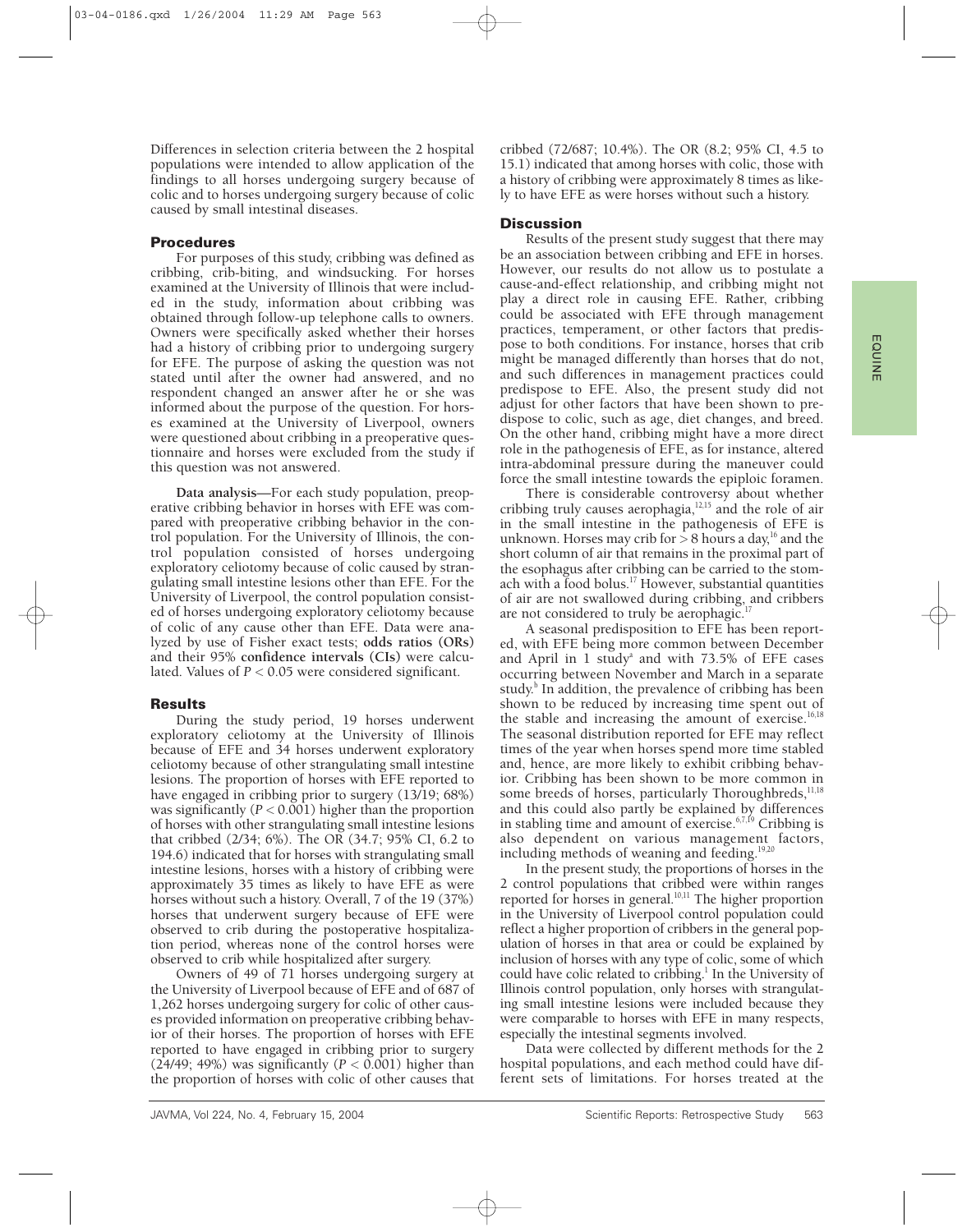Differences in selection criteria between the 2 hospital populations were intended to allow application of the findings to all horses undergoing surgery because of colic and to horses undergoing surgery because of colic caused by small intestinal diseases.

## **Procedures**

For purposes of this study, cribbing was defined as cribbing, crib-biting, and windsucking. For horses examined at the University of Illinois that were included in the study, information about cribbing was obtained through follow-up telephone calls to owners. Owners were specifically asked whether their horses had a history of cribbing prior to undergoing surgery for EFE. The purpose of asking the question was not stated until after the owner had answered, and no respondent changed an answer after he or she was informed about the purpose of the question. For horses examined at the University of Liverpool, owners were questioned about cribbing in a preoperative questionnaire and horses were excluded from the study if this question was not answered.

**Data analysis**—For each study population, preoperative cribbing behavior in horses with EFE was compared with preoperative cribbing behavior in the control population. For the University of Illinois, the control population consisted of horses undergoing exploratory celiotomy because of colic caused by strangulating small intestine lesions other than EFE. For the University of Liverpool, the control population consisted of horses undergoing exploratory celiotomy because of colic of any cause other than EFE. Data were analyzed by use of Fisher exact tests; **odds ratios (ORs)** and their 95% **confidence intervals (CIs)** were calculated. Values of *P* < 0.05 were considered significant.

### **Results**

During the study period, 19 horses underwent exploratory celiotomy at the University of Illinois because of EFE and 34 horses underwent exploratory celiotomy because of other strangulating small intestine lesions. The proportion of horses with EFE reported to have engaged in cribbing prior to surgery (13/19; 68%) was significantly  $(P < 0.001)$  higher than the proportion of horses with other strangulating small intestine lesions that cribbed (2/34; 6%). The OR (34.7; 95% CI, 6.2 to 194.6) indicated that for horses with strangulating small intestine lesions, horses with a history of cribbing were approximately 35 times as likely to have EFE as were horses without such a history. Overall, 7 of the 19 (37%) horses that underwent surgery because of EFE were observed to crib during the postoperative hospitalization period, whereas none of the control horses were observed to crib while hospitalized after surgery.

Owners of 49 of 71 horses undergoing surgery at the University of Liverpool because of EFE and of 687 of 1,262 horses undergoing surgery for colic of other causes provided information on preoperative cribbing behavior of their horses. The proportion of horses with EFE reported to have engaged in cribbing prior to surgery  $(24/49; 49%)$  was significantly  $(P < 0.001)$  higher than the proportion of horses with colic of other causes that

cribbed (72/687; 10.4%). The OR (8.2; 95% CI, 4.5 to 15.1) indicated that among horses with colic, those with a history of cribbing were approximately 8 times as likely to have EFE as were horses without such a history.

#### **Discussion**

Results of the present study suggest that there may be an association between cribbing and EFE in horses. However, our results do not allow us to postulate a cause-and-effect relationship, and cribbing might not play a direct role in causing EFE. Rather, cribbing could be associated with EFE through management practices, temperament, or other factors that predispose to both conditions. For instance, horses that crib might be managed differently than horses that do not, and such differences in management practices could predispose to EFE. Also, the present study did not adjust for other factors that have been shown to predispose to colic, such as age, diet changes, and breed. On the other hand, cribbing might have a more direct role in the pathogenesis of EFE, as for instance, altered intra-abdominal pressure during the maneuver could force the small intestine towards the epiploic foramen.

There is considerable controversy about whether cribbing truly causes aerophagia, $12,15$  and the role of air in the small intestine in the pathogenesis of EFE is unknown. Horses may crib for  $> 8$  hours a day,<sup>16</sup> and the short column of air that remains in the proximal part of the esophagus after cribbing can be carried to the stomach with a food bolus.<sup>17</sup> However, substantial quantities of air are not swallowed during cribbing, and cribbers are not considered to truly be aerophagic.

A seasonal predisposition to EFE has been reported, with EFE being more common between December and April in 1 study<sup>a</sup> and with  $73.5\%$  of EFE cases occurring between November and March in a separate study.<sup>b</sup> In addition, the prevalence of cribbing has been shown to be reduced by increasing time spent out of the stable and increasing the amount of exercise.<sup>16,18</sup> The seasonal distribution reported for EFE may reflect times of the year when horses spend more time stabled and, hence, are more likely to exhibit cribbing behavior. Cribbing has been shown to be more common in some breeds of horses, particularly Thoroughbreds,<sup>11,18</sup> and this could also partly be explained by differences in stabling time and amount of exercise.<sup>6,7,19</sup> Cribbing is also dependent on various management factors, including methods of weaning and feeding.<sup>19,20</sup>

In the present study, the proportions of horses in the 2 control populations that cribbed were within ranges reported for horses in general.<sup>10,11</sup> The higher proportion in the University of Liverpool control population could reflect a higher proportion of cribbers in the general population of horses in that area or could be explained by inclusion of horses with any type of colic, some of which could have colic related to cribbing.<sup>1</sup> In the University of Illinois control population, only horses with strangulating small intestine lesions were included because they were comparable to horses with EFE in many respects, especially the intestinal segments involved.

Data were collected by different methods for the 2 hospital populations, and each method could have different sets of limitations. For horses treated at the